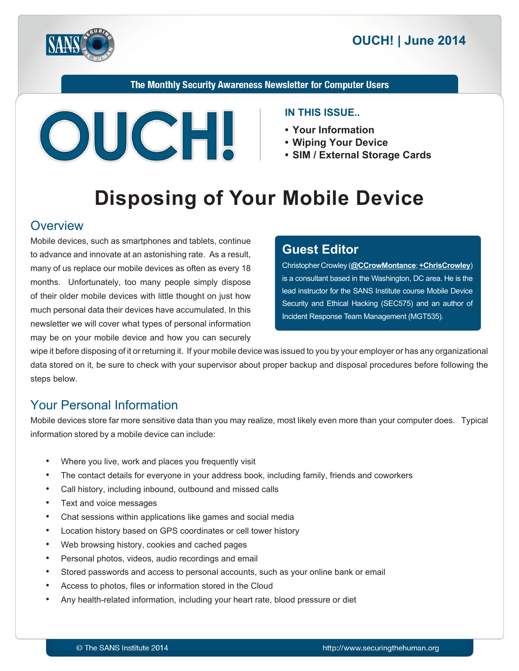

The Monthly Security Awareness Newsletter for Computer Users



#### **IN THIS ISSUE..**

- Your Information
- Wiping Your Device
- SIM / External Storage Cards

# **Disposing of Your Mobile Device**

#### **Overview**

Mobile devices, such as smartphones and tablets, continue to advance and innovate at an astonishing rate. As a result, many of us replace our mobile devices as often as every 18 months. Unfortunately, too many people simply dispose of their older mobile devices with little thought on just how much personal data their devices have accumulated. In this newsletter we will cover what types of personal information may be on your mobile device and how you can securely

#### **Editor Guest**

(**Christopher Crowley** (**@[CCrowMontance](https://twitter.com/CCrowMontance)**; **+ChrisCrowley** is a consultant based in the Washington, DC area. He is the lead instructor for the SANS Institute course Mobile Device Security and Ethical Hacking (SEC575) and an author of Incident Response Team Management (MGT535).

wipe it before disposing of it or returning it. If your mobile device was issued to you by your employer or has any organizational data stored on it, be sure to check with your supervisor about proper backup and disposal procedures before following the steps below.

## **Your Personal Information**

Mobile devices store far more sensitive data than you may realize, most likely even more than your computer does. Typical information stored by a mobile device can include:

- Where you live, work and places you frequently visit
- The contact details for everyone in your address book, including family, friends and coworkers
- Call history, including inbound, outbound and missed calls
- Text and voice messages
- Chat sessions within applications like games and social media
- Location history based on GPS coordinates or cell tower history
- Web browsing history, cookies and cached pages
- Personal photos, videos, audio recordings and email
- Stored passwords and access to personal accounts, such as your online bank or email
- Access to photos, files or information stored in the Cloud
- Any health-related information, including your heart rate, blood pressure or diet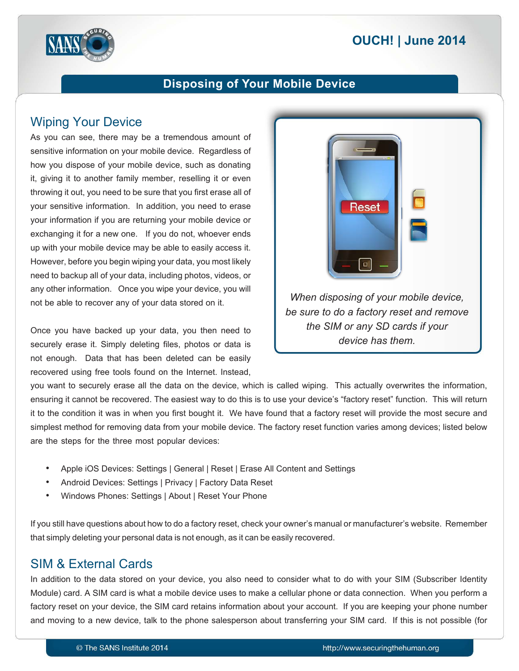# **2014 OUCH! | June 2014**



## **Disposing of Your Mobile Device**

### **Wiping Your Device**

As you can see, there may be a tremendous amount of sensitive information on your mobile device. Regardless of how you dispose of your mobile device, such as donating it, giving it to another family member, reselling it or even throwing it out, you need to be sure that you first erase all of your sensitive information. In addition, you need to erase your information if you are returning your mobile device or exchanging it for a new one. If you do not, whoever ends up with your mobile device may be able to easily access it. However, before you begin wiping your data, you most likely need to backup all of your data, including photos, videos, or any other information. Once you wipe your device, you will not be able to recover any of your data stored on it.

Once you have backed up your data, you then need to securely erase it. Simply deleting files, photos or data is not enough. Data that has been deleted can be easily recovered using free tools found on the Internet. Instead,



you want to securely erase all the data on the device, which is called wiping. This actually overwrites the information, ensuring it cannot be recovered. The easiest way to do this is to use your device's "factory reset" function. This will return it to the condition it was in when you first bought it. We have found that a factory reset will provide the most secure and simplest method for removing data from your mobile device. The factory reset function varies among devices; listed below are the steps for the three most popular devices:

- Apple iOS Devices: Settings | General | Reset | Erase All Content and Settings
- Android Devices: Settings | Privacy | Factory Data Reset
- Windows Phones: Settings | About | Reset Your Phone

If you still have questions about how to do a factory reset, check your owner's manual or manufacturer's website. Remember that simply deleting your personal data is not enough, as it can be easily recovered.

# SIM & External Cards

In addition to the data stored on your device, you also need to consider what to do with your SIM (Subscriber Identity Module) card. A SIM card is what a mobile device uses to make a cellular phone or data connection. When you perform a factory reset on your device, the SIM card retains information about your account. If you are keeping your phone number and moving to a new device, talk to the phone salesperson about transferring your SIM card. If this is not possible (for